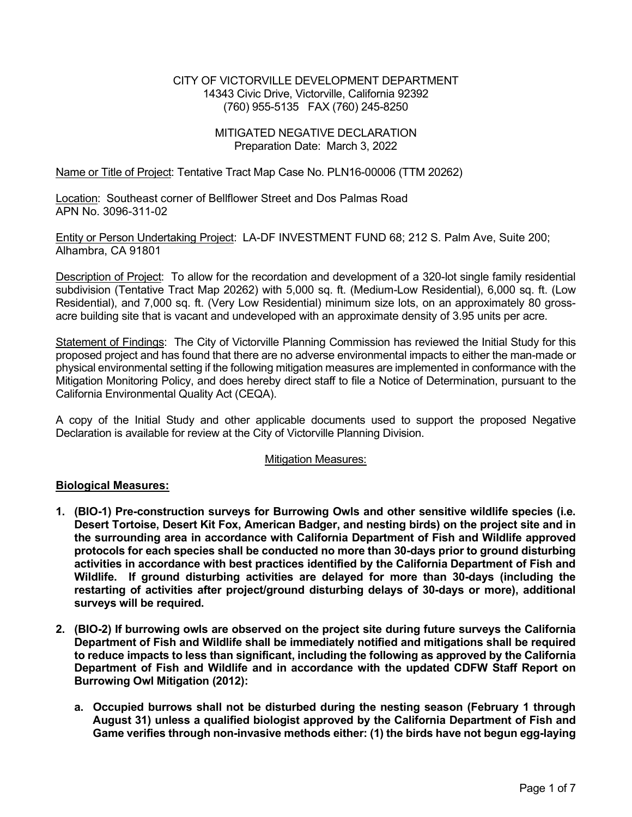### CITY OF VICTORVILLE DEVELOPMENT DEPARTMENT 14343 Civic Drive, Victorville, California 92392 (760) 955-5135 FAX (760) 245-8250

### MITIGATED NEGATIVE DECLARATION Preparation Date: March 3, 2022

Name or Title of Project: Tentative Tract Map Case No. PLN16-00006 (TTM 20262)

Location: Southeast corner of Bellflower Street and Dos Palmas Road APN No. 3096-311-02

Entity or Person Undertaking Project: LA-DF INVESTMENT FUND 68; 212 S. Palm Ave, Suite 200; Alhambra, CA 91801

Description of Project: To allow for the recordation and development of a 320-lot single family residential subdivision (Tentative Tract Map 20262) with 5,000 sq. ft. (Medium-Low Residential), 6,000 sq. ft. (Low Residential), and 7,000 sq. ft. (Very Low Residential) minimum size lots, on an approximately 80 grossacre building site that is vacant and undeveloped with an approximate density of 3.95 units per acre.

Statement of Findings: The City of Victorville Planning Commission has reviewed the Initial Study for this proposed project and has found that there are no adverse environmental impacts to either the man-made or physical environmental setting if the following mitigation measures are implemented in conformance with the Mitigation Monitoring Policy, and does hereby direct staff to file a Notice of Determination, pursuant to the California Environmental Quality Act (CEQA).

A copy of the Initial Study and other applicable documents used to support the proposed Negative Declaration is available for review at the City of Victorville Planning Division.

#### Mitigation Measures:

#### Biological Measures:

- 1. (BIO-1) Pre-construction surveys for Burrowing Owls and other sensitive wildlife species (i.e. Desert Tortoise, Desert Kit Fox, American Badger, and nesting birds) on the project site and in the surrounding area in accordance with California Department of Fish and Wildlife approved protocols for each species shall be conducted no more than 30-days prior to ground disturbing activities in accordance with best practices identified by the California Department of Fish and Wildlife. If ground disturbing activities are delayed for more than 30-days (including the restarting of activities after project/ground disturbing delays of 30-days or more), additional surveys will be required.
- 2. (BIO-2) If burrowing owls are observed on the project site during future surveys the California Department of Fish and Wildlife shall be immediately notified and mitigations shall be required to reduce impacts to less than significant, including the following as approved by the California Department of Fish and Wildlife and in accordance with the updated CDFW Staff Report on Burrowing Owl Mitigation (2012):
	- a. Occupied burrows shall not be disturbed during the nesting season (February 1 through August 31) unless a qualified biologist approved by the California Department of Fish and Game verifies through non-invasive methods either: (1) the birds have not begun egg-laying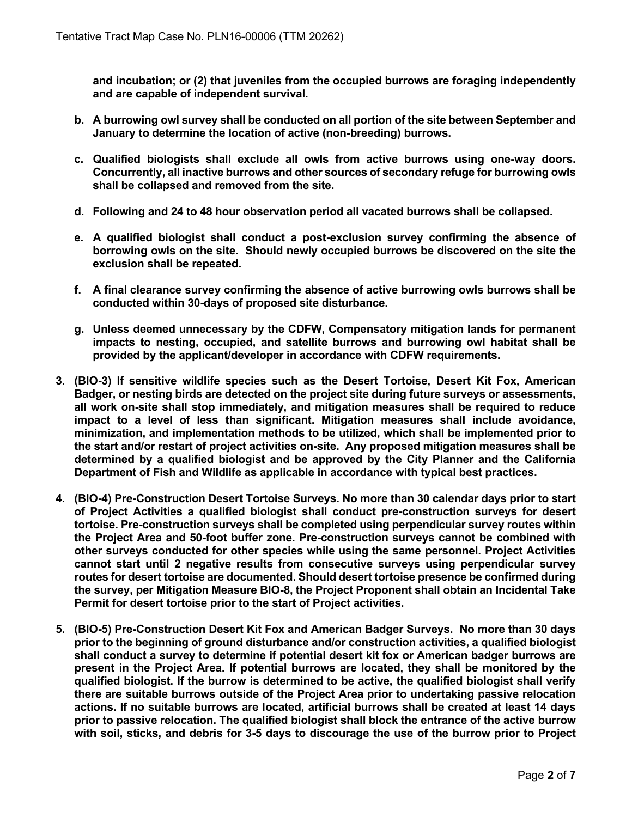and incubation; or (2) that juveniles from the occupied burrows are foraging independently and are capable of independent survival.

- b. A burrowing owl survey shall be conducted on all portion of the site between September and January to determine the location of active (non-breeding) burrows.
- c. Qualified biologists shall exclude all owls from active burrows using one-way doors. Concurrently, all inactive burrows and other sources of secondary refuge for burrowing owls shall be collapsed and removed from the site.
- d. Following and 24 to 48 hour observation period all vacated burrows shall be collapsed.
- e. A qualified biologist shall conduct a post-exclusion survey confirming the absence of borrowing owls on the site. Should newly occupied burrows be discovered on the site the exclusion shall be repeated.
- f. A final clearance survey confirming the absence of active burrowing owls burrows shall be conducted within 30-days of proposed site disturbance.
- g. Unless deemed unnecessary by the CDFW, Compensatory mitigation lands for permanent impacts to nesting, occupied, and satellite burrows and burrowing owl habitat shall be provided by the applicant/developer in accordance with CDFW requirements.
- 3. (BIO-3) If sensitive wildlife species such as the Desert Tortoise, Desert Kit Fox, American Badger, or nesting birds are detected on the project site during future surveys or assessments, all work on-site shall stop immediately, and mitigation measures shall be required to reduce impact to a level of less than significant. Mitigation measures shall include avoidance, minimization, and implementation methods to be utilized, which shall be implemented prior to the start and/or restart of project activities on-site. Any proposed mitigation measures shall be determined by a qualified biologist and be approved by the City Planner and the California Department of Fish and Wildlife as applicable in accordance with typical best practices.
- 4. (BIO-4) Pre-Construction Desert Tortoise Surveys. No more than 30 calendar days prior to start of Project Activities a qualified biologist shall conduct pre-construction surveys for desert tortoise. Pre-construction surveys shall be completed using perpendicular survey routes within the Project Area and 50-foot buffer zone. Pre-construction surveys cannot be combined with other surveys conducted for other species while using the same personnel. Project Activities cannot start until 2 negative results from consecutive surveys using perpendicular survey routes for desert tortoise are documented. Should desert tortoise presence be confirmed during the survey, per Mitigation Measure BIO-8, the Project Proponent shall obtain an Incidental Take Permit for desert tortoise prior to the start of Project activities.
- 5. (BIO-5) Pre-Construction Desert Kit Fox and American Badger Surveys. No more than 30 days prior to the beginning of ground disturbance and/or construction activities, a qualified biologist shall conduct a survey to determine if potential desert kit fox or American badger burrows are present in the Project Area. If potential burrows are located, they shall be monitored by the qualified biologist. If the burrow is determined to be active, the qualified biologist shall verify there are suitable burrows outside of the Project Area prior to undertaking passive relocation actions. If no suitable burrows are located, artificial burrows shall be created at least 14 days prior to passive relocation. The qualified biologist shall block the entrance of the active burrow with soil, sticks, and debris for 3-5 days to discourage the use of the burrow prior to Project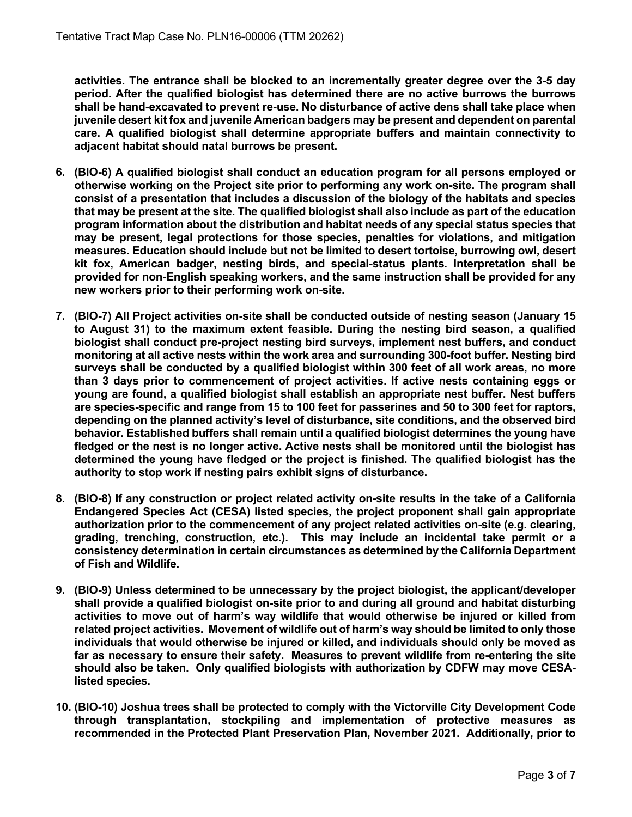activities. The entrance shall be blocked to an incrementally greater degree over the 3-5 day period. After the qualified biologist has determined there are no active burrows the burrows shall be hand-excavated to prevent re-use. No disturbance of active dens shall take place when juvenile desert kit fox and juvenile American badgers may be present and dependent on parental care. A qualified biologist shall determine appropriate buffers and maintain connectivity to adjacent habitat should natal burrows be present.

- 6. (BIO-6) A qualified biologist shall conduct an education program for all persons employed or otherwise working on the Project site prior to performing any work on-site. The program shall consist of a presentation that includes a discussion of the biology of the habitats and species that may be present at the site. The qualified biologist shall also include as part of the education program information about the distribution and habitat needs of any special status species that may be present, legal protections for those species, penalties for violations, and mitigation measures. Education should include but not be limited to desert tortoise, burrowing owl, desert kit fox, American badger, nesting birds, and special-status plants. Interpretation shall be provided for non-English speaking workers, and the same instruction shall be provided for any new workers prior to their performing work on-site.
- 7. (BIO-7) All Project activities on-site shall be conducted outside of nesting season (January 15 to August 31) to the maximum extent feasible. During the nesting bird season, a qualified biologist shall conduct pre-project nesting bird surveys, implement nest buffers, and conduct monitoring at all active nests within the work area and surrounding 300-foot buffer. Nesting bird surveys shall be conducted by a qualified biologist within 300 feet of all work areas, no more than 3 days prior to commencement of project activities. If active nests containing eggs or young are found, a qualified biologist shall establish an appropriate nest buffer. Nest buffers are species-specific and range from 15 to 100 feet for passerines and 50 to 300 feet for raptors, depending on the planned activity's level of disturbance, site conditions, and the observed bird behavior. Established buffers shall remain until a qualified biologist determines the young have fledged or the nest is no longer active. Active nests shall be monitored until the biologist has determined the young have fledged or the project is finished. The qualified biologist has the authority to stop work if nesting pairs exhibit signs of disturbance.
- 8. (BIO-8) If any construction or project related activity on-site results in the take of a California Endangered Species Act (CESA) listed species, the project proponent shall gain appropriate authorization prior to the commencement of any project related activities on-site (e.g. clearing, grading, trenching, construction, etc.). This may include an incidental take permit or a consistency determination in certain circumstances as determined by the California Department of Fish and Wildlife.
- 9. (BIO-9) Unless determined to be unnecessary by the project biologist, the applicant/developer shall provide a qualified biologist on-site prior to and during all ground and habitat disturbing activities to move out of harm's way wildlife that would otherwise be injured or killed from related project activities. Movement of wildlife out of harm's way should be limited to only those individuals that would otherwise be injured or killed, and individuals should only be moved as far as necessary to ensure their safety. Measures to prevent wildlife from re-entering the site should also be taken. Only qualified biologists with authorization by CDFW may move CESAlisted species.
- 10. (BIO-10) Joshua trees shall be protected to comply with the Victorville City Development Code through transplantation, stockpiling and implementation of protective measures as recommended in the Protected Plant Preservation Plan, November 2021. Additionally, prior to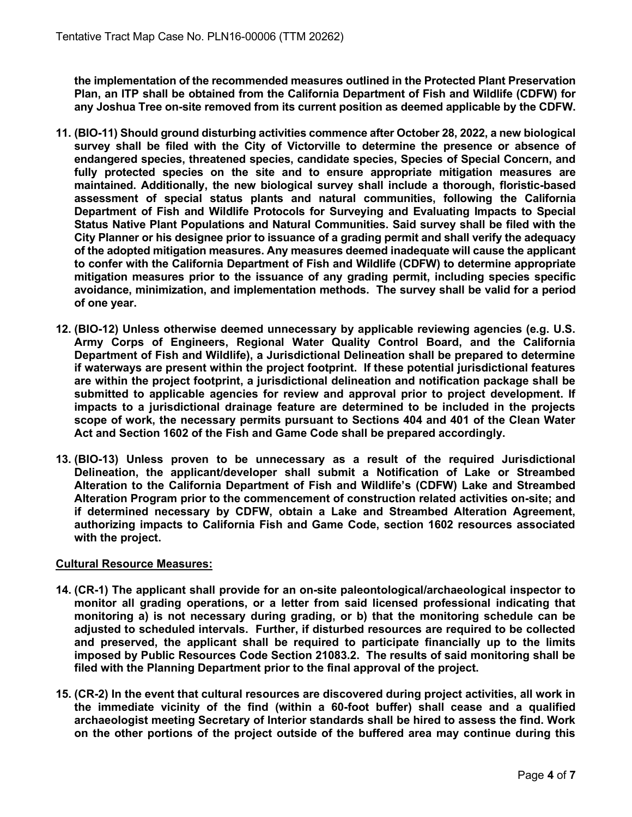the implementation of the recommended measures outlined in the Protected Plant Preservation Plan, an ITP shall be obtained from the California Department of Fish and Wildlife (CDFW) for any Joshua Tree on-site removed from its current position as deemed applicable by the CDFW.

- 11. (BIO-11) Should ground disturbing activities commence after October 28, 2022, a new biological survey shall be filed with the City of Victorville to determine the presence or absence of endangered species, threatened species, candidate species, Species of Special Concern, and fully protected species on the site and to ensure appropriate mitigation measures are maintained. Additionally, the new biological survey shall include a thorough, floristic-based assessment of special status plants and natural communities, following the California Department of Fish and Wildlife Protocols for Surveying and Evaluating Impacts to Special Status Native Plant Populations and Natural Communities. Said survey shall be filed with the City Planner or his designee prior to issuance of a grading permit and shall verify the adequacy of the adopted mitigation measures. Any measures deemed inadequate will cause the applicant to confer with the California Department of Fish and Wildlife (CDFW) to determine appropriate mitigation measures prior to the issuance of any grading permit, including species specific avoidance, minimization, and implementation methods. The survey shall be valid for a period of one year.
- 12. (BIO-12) Unless otherwise deemed unnecessary by applicable reviewing agencies (e.g. U.S. Army Corps of Engineers, Regional Water Quality Control Board, and the California Department of Fish and Wildlife), a Jurisdictional Delineation shall be prepared to determine if waterways are present within the project footprint. If these potential jurisdictional features are within the project footprint, a jurisdictional delineation and notification package shall be submitted to applicable agencies for review and approval prior to project development. If impacts to a jurisdictional drainage feature are determined to be included in the projects scope of work, the necessary permits pursuant to Sections 404 and 401 of the Clean Water Act and Section 1602 of the Fish and Game Code shall be prepared accordingly.
- 13. (BIO-13) Unless proven to be unnecessary as a result of the required Jurisdictional Delineation, the applicant/developer shall submit a Notification of Lake or Streambed Alteration to the California Department of Fish and Wildlife's (CDFW) Lake and Streambed Alteration Program prior to the commencement of construction related activities on-site; and if determined necessary by CDFW, obtain a Lake and Streambed Alteration Agreement, authorizing impacts to California Fish and Game Code, section 1602 resources associated with the project.

# Cultural Resource Measures:

- 14. (CR-1) The applicant shall provide for an on-site paleontological/archaeological inspector to monitor all grading operations, or a letter from said licensed professional indicating that monitoring a) is not necessary during grading, or b) that the monitoring schedule can be adjusted to scheduled intervals. Further, if disturbed resources are required to be collected and preserved, the applicant shall be required to participate financially up to the limits imposed by Public Resources Code Section 21083.2. The results of said monitoring shall be filed with the Planning Department prior to the final approval of the project.
- 15. (CR-2) In the event that cultural resources are discovered during project activities, all work in the immediate vicinity of the find (within a 60-foot buffer) shall cease and a qualified archaeologist meeting Secretary of Interior standards shall be hired to assess the find. Work on the other portions of the project outside of the buffered area may continue during this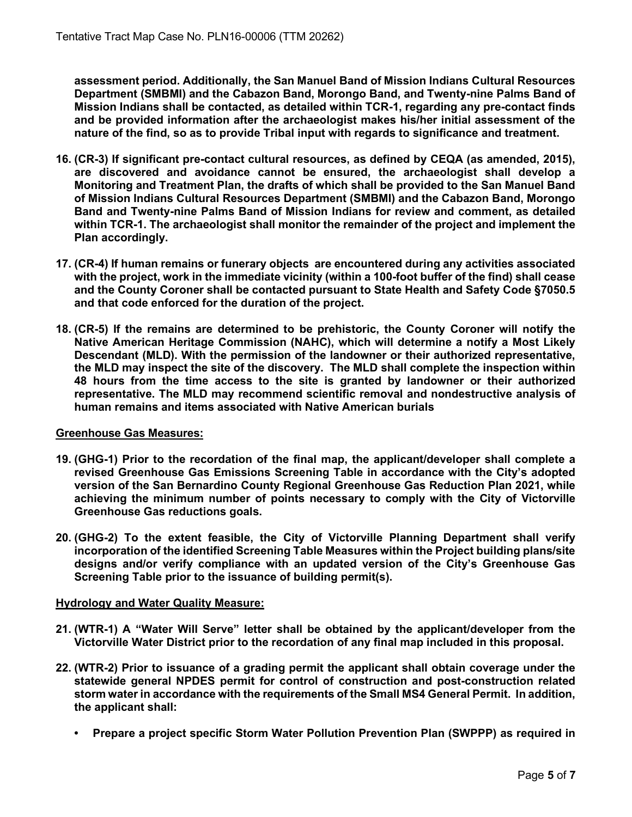assessment period. Additionally, the San Manuel Band of Mission Indians Cultural Resources Department (SMBMI) and the Cabazon Band, Morongo Band, and Twenty-nine Palms Band of Mission Indians shall be contacted, as detailed within TCR-1, regarding any pre-contact finds and be provided information after the archaeologist makes his/her initial assessment of the nature of the find, so as to provide Tribal input with regards to significance and treatment.

- 16. (CR-3) If significant pre-contact cultural resources, as defined by CEQA (as amended, 2015), are discovered and avoidance cannot be ensured, the archaeologist shall develop a Monitoring and Treatment Plan, the drafts of which shall be provided to the San Manuel Band of Mission Indians Cultural Resources Department (SMBMI) and the Cabazon Band, Morongo Band and Twenty-nine Palms Band of Mission Indians for review and comment, as detailed within TCR-1. The archaeologist shall monitor the remainder of the project and implement the Plan accordingly.
- 17. (CR-4) If human remains or funerary objects are encountered during any activities associated with the project, work in the immediate vicinity (within a 100-foot buffer of the find) shall cease and the County Coroner shall be contacted pursuant to State Health and Safety Code §7050.5 and that code enforced for the duration of the project.
- 18. (CR-5) If the remains are determined to be prehistoric, the County Coroner will notify the Native American Heritage Commission (NAHC), which will determine a notify a Most Likely Descendant (MLD). With the permission of the landowner or their authorized representative, the MLD may inspect the site of the discovery. The MLD shall complete the inspection within 48 hours from the time access to the site is granted by landowner or their authorized representative. The MLD may recommend scientific removal and nondestructive analysis of human remains and items associated with Native American burials

# Greenhouse Gas Measures:

- 19. (GHG-1) Prior to the recordation of the final map, the applicant/developer shall complete a revised Greenhouse Gas Emissions Screening Table in accordance with the City's adopted version of the San Bernardino County Regional Greenhouse Gas Reduction Plan 2021, while achieving the minimum number of points necessary to comply with the City of Victorville Greenhouse Gas reductions goals.
- 20. (GHG-2) To the extent feasible, the City of Victorville Planning Department shall verify incorporation of the identified Screening Table Measures within the Project building plans/site designs and/or verify compliance with an updated version of the City's Greenhouse Gas Screening Table prior to the issuance of building permit(s).

# Hydrology and Water Quality Measure:

- 21. (WTR-1) A "Water Will Serve" letter shall be obtained by the applicant/developer from the Victorville Water District prior to the recordation of any final map included in this proposal.
- 22. (WTR-2) Prior to issuance of a grading permit the applicant shall obtain coverage under the statewide general NPDES permit for control of construction and post-construction related storm water in accordance with the requirements of the Small MS4 General Permit. In addition, the applicant shall:
	- Prepare a project specific Storm Water Pollution Prevention Plan (SWPPP) as required in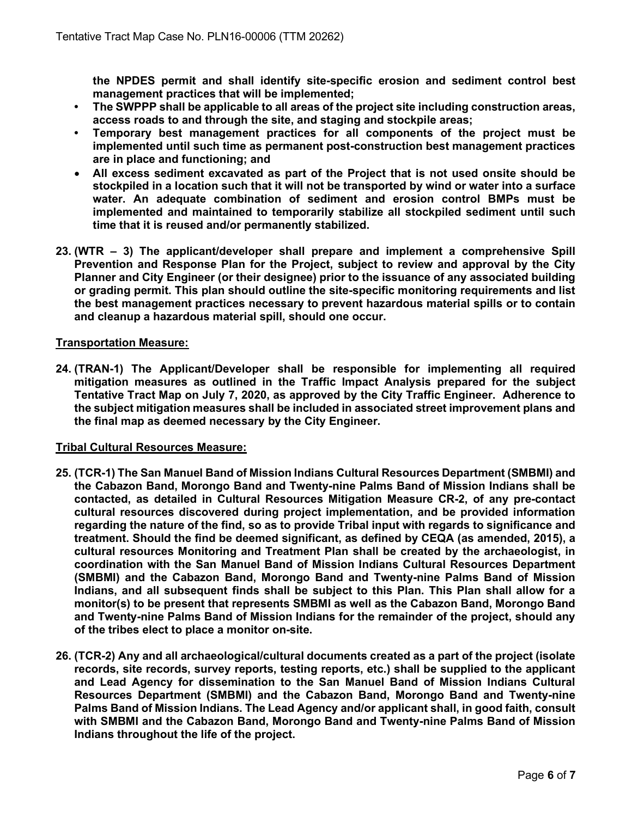the NPDES permit and shall identify site-specific erosion and sediment control best management practices that will be implemented;

- The SWPPP shall be applicable to all areas of the project site including construction areas, access roads to and through the site, and staging and stockpile areas;
- Temporary best management practices for all components of the project must be implemented until such time as permanent post-construction best management practices are in place and functioning; and
- All excess sediment excavated as part of the Project that is not used onsite should be stockpiled in a location such that it will not be transported by wind or water into a surface water. An adequate combination of sediment and erosion control BMPs must be implemented and maintained to temporarily stabilize all stockpiled sediment until such time that it is reused and/or permanently stabilized.
- 23. (WTR 3) The applicant/developer shall prepare and implement a comprehensive Spill Prevention and Response Plan for the Project, subject to review and approval by the City Planner and City Engineer (or their designee) prior to the issuance of any associated building or grading permit. This plan should outline the site-specific monitoring requirements and list the best management practices necessary to prevent hazardous material spills or to contain and cleanup a hazardous material spill, should one occur.

### Transportation Measure:

24. (TRAN-1) The Applicant/Developer shall be responsible for implementing all required mitigation measures as outlined in the Traffic Impact Analysis prepared for the subject Tentative Tract Map on July 7, 2020, as approved by the City Traffic Engineer. Adherence to the subject mitigation measures shall be included in associated street improvement plans and the final map as deemed necessary by the City Engineer.

#### Tribal Cultural Resources Measure:

- 25. (TCR-1) The San Manuel Band of Mission Indians Cultural Resources Department (SMBMI) and the Cabazon Band, Morongo Band and Twenty-nine Palms Band of Mission Indians shall be contacted, as detailed in Cultural Resources Mitigation Measure CR-2, of any pre-contact cultural resources discovered during project implementation, and be provided information regarding the nature of the find, so as to provide Tribal input with regards to significance and treatment. Should the find be deemed significant, as defined by CEQA (as amended, 2015), a cultural resources Monitoring and Treatment Plan shall be created by the archaeologist, in coordination with the San Manuel Band of Mission Indians Cultural Resources Department (SMBMI) and the Cabazon Band, Morongo Band and Twenty-nine Palms Band of Mission Indians, and all subsequent finds shall be subject to this Plan. This Plan shall allow for a monitor(s) to be present that represents SMBMI as well as the Cabazon Band, Morongo Band and Twenty-nine Palms Band of Mission Indians for the remainder of the project, should any of the tribes elect to place a monitor on-site.
- 26. (TCR-2) Any and all archaeological/cultural documents created as a part of the project (isolate records, site records, survey reports, testing reports, etc.) shall be supplied to the applicant and Lead Agency for dissemination to the San Manuel Band of Mission Indians Cultural Resources Department (SMBMI) and the Cabazon Band, Morongo Band and Twenty-nine Palms Band of Mission Indians. The Lead Agency and/or applicant shall, in good faith, consult with SMBMI and the Cabazon Band, Morongo Band and Twenty-nine Palms Band of Mission Indians throughout the life of the project.